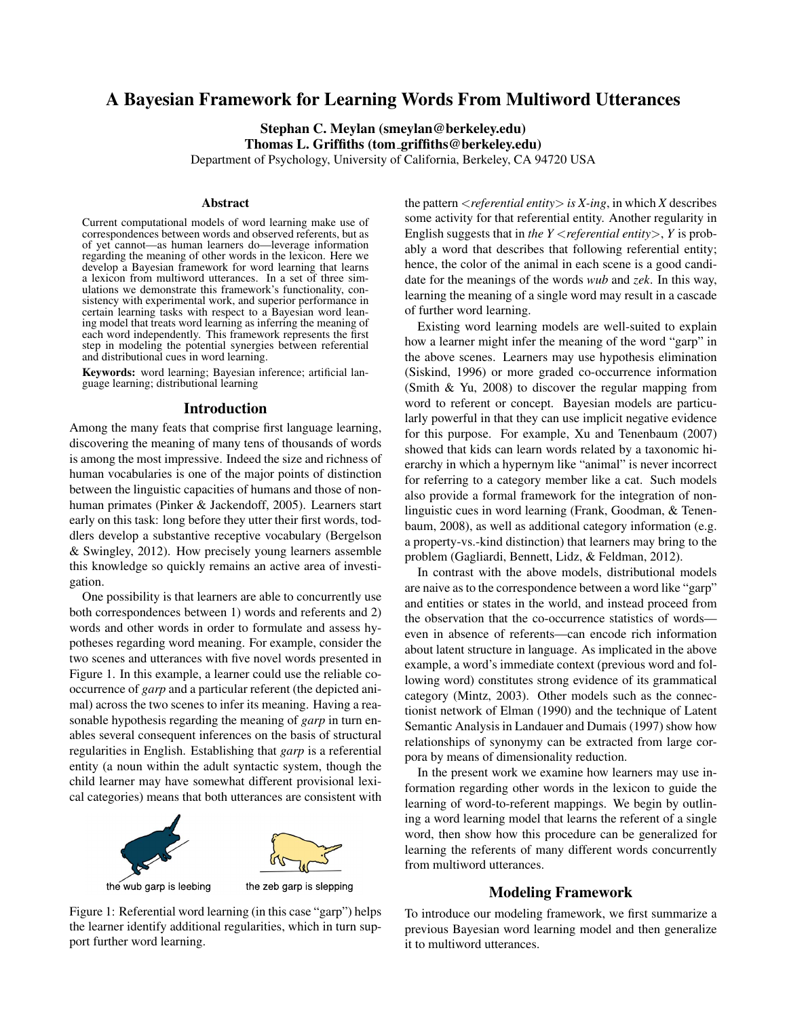# A Bayesian Framework for Learning Words From Multiword Utterances

Stephan C. Meylan (smeylan@berkeley.edu) Thomas L. Griffiths (tom griffiths@berkeley.edu) Department of Psychology, University of California, Berkeley, CA 94720 USA

#### Abstract

Current computational models of word learning make use of correspondences between words and observed referents, but as of yet cannot—as human learners do—leverage information regarding the meaning of other words in the lexicon. Here we develop a Bayesian framework for word learning that learns a lexicon from multiword utterances. In a set of three simulations we demonstrate this framework's functionality, consistency with experimental work, and superior performance in certain learning tasks with respect to a Bayesian word leaning model that treats word learning as inferring the meaning of each word independently. This framework represents the first step in modeling the potential synergies between referential and distributional cues in word learning.

Keywords: word learning; Bayesian inference; artificial language learning; distributional learning

#### Introduction

Among the many feats that comprise first language learning, discovering the meaning of many tens of thousands of words is among the most impressive. Indeed the size and richness of human vocabularies is one of the major points of distinction between the linguistic capacities of humans and those of nonhuman primates (Pinker & Jackendoff, 2005). Learners start early on this task: long before they utter their first words, toddlers develop a substantive receptive vocabulary (Bergelson & Swingley, 2012). How precisely young learners assemble this knowledge so quickly remains an active area of investigation.

One possibility is that learners are able to concurrently use both correspondences between 1) words and referents and 2) words and other words in order to formulate and assess hypotheses regarding word meaning. For example, consider the two scenes and utterances with five novel words presented in Figure 1. In this example, a learner could use the reliable cooccurrence of *garp* and a particular referent (the depicted animal) across the two scenes to infer its meaning. Having a reasonable hypothesis regarding the meaning of *garp* in turn enables several consequent inferences on the basis of structural regularities in English. Establishing that *garp* is a referential entity (a noun within the adult syntactic system, though the child learner may have somewhat different provisional lexical categories) means that both utterances are consistent with



Figure 1: Referential word learning (in this case "garp") helps the learner identify additional regularities, which in turn support further word learning.

the pattern <*referential entity*> *is X-ing*, in which *X* describes some activity for that referential entity. Another regularity in English suggests that in *the Y* <*referential entity*>, *Y* is probably a word that describes that following referential entity; hence, the color of the animal in each scene is a good candidate for the meanings of the words *wub* and *zek*. In this way, learning the meaning of a single word may result in a cascade of further word learning.

Existing word learning models are well-suited to explain how a learner might infer the meaning of the word "garp" in the above scenes. Learners may use hypothesis elimination (Siskind, 1996) or more graded co-occurrence information (Smith & Yu, 2008) to discover the regular mapping from word to referent or concept. Bayesian models are particularly powerful in that they can use implicit negative evidence for this purpose. For example, Xu and Tenenbaum (2007) showed that kids can learn words related by a taxonomic hierarchy in which a hypernym like "animal" is never incorrect for referring to a category member like a cat. Such models also provide a formal framework for the integration of nonlinguistic cues in word learning (Frank, Goodman, & Tenenbaum, 2008), as well as additional category information (e.g. a property-vs.-kind distinction) that learners may bring to the problem (Gagliardi, Bennett, Lidz, & Feldman, 2012).

In contrast with the above models, distributional models are naive as to the correspondence between a word like "garp" and entities or states in the world, and instead proceed from the observation that the co-occurrence statistics of words even in absence of referents—can encode rich information about latent structure in language. As implicated in the above example, a word's immediate context (previous word and following word) constitutes strong evidence of its grammatical category (Mintz, 2003). Other models such as the connectionist network of Elman (1990) and the technique of Latent Semantic Analysis in Landauer and Dumais (1997) show how relationships of synonymy can be extracted from large corpora by means of dimensionality reduction.

In the present work we examine how learners may use information regarding other words in the lexicon to guide the learning of word-to-referent mappings. We begin by outlining a word learning model that learns the referent of a single word, then show how this procedure can be generalized for learning the referents of many different words concurrently from multiword utterances.

## Modeling Framework

To introduce our modeling framework, we first summarize a previous Bayesian word learning model and then generalize it to multiword utterances.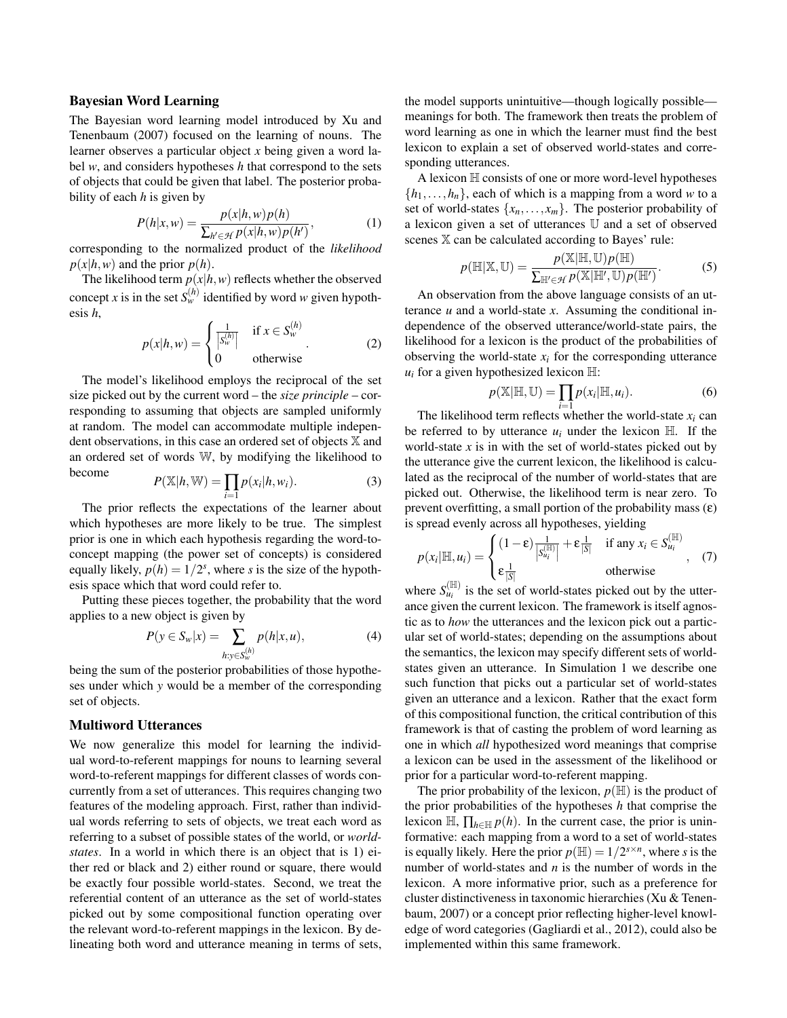## Bayesian Word Learning

The Bayesian word learning model introduced by Xu and Tenenbaum (2007) focused on the learning of nouns. The learner observes a particular object *x* being given a word label *w*, and considers hypotheses *h* that correspond to the sets of objects that could be given that label. The posterior probability of each *h* is given by

$$
P(h|x, w) = \frac{p(x|h, w)p(h)}{\sum_{h' \in \mathcal{H}} p(x|h, w)p(h')},
$$
\n(1)

corresponding to the normalized product of the *likelihood*  $p(x|h, w)$  and the prior  $p(h)$ .

The likelihood term  $p(x|h, w)$  reflects whether the observed concept *x* is in the set  $S_w^{(h)}$  identified by word *w* given hypothesis *h*,

$$
p(x|h, w) = \begin{cases} \frac{1}{|S_w^{(h)}|} & \text{if } x \in S_w^{(h)} \\ 0 & \text{otherwise} \end{cases}
$$
 (2)

The model's likelihood employs the reciprocal of the set size picked out by the current word – the *size principle* – corresponding to assuming that objects are sampled uniformly at random. The model can accommodate multiple independent observations, in this case an ordered set of objects X and an ordered set of words W, by modifying the likelihood to become

$$
P(\mathbb{X}|h,\mathbb{W}) = \prod_{i=1} p(x_i|h,w_i).
$$
 (3)

The prior reflects the expectations of the learner about which hypotheses are more likely to be true. The simplest prior is one in which each hypothesis regarding the word-toconcept mapping (the power set of concepts) is considered equally likely,  $p(h) = 1/2^s$ , where *s* is the size of the hypothesis space which that word could refer to.

Putting these pieces together, the probability that the word applies to a new object is given by

$$
P(y \in S_w | x) = \sum_{h: y \in S_w^{(h)}} p(h | x, u),
$$
 (4)

being the sum of the posterior probabilities of those hypotheses under which *y* would be a member of the corresponding set of objects.

### Multiword Utterances

We now generalize this model for learning the individual word-to-referent mappings for nouns to learning several word-to-referent mappings for different classes of words concurrently from a set of utterances. This requires changing two features of the modeling approach. First, rather than individual words referring to sets of objects, we treat each word as referring to a subset of possible states of the world, or *worldstates*. In a world in which there is an object that is 1) either red or black and 2) either round or square, there would be exactly four possible world-states. Second, we treat the referential content of an utterance as the set of world-states picked out by some compositional function operating over the relevant word-to-referent mappings in the lexicon. By delineating both word and utterance meaning in terms of sets, the model supports unintuitive—though logically possible meanings for both. The framework then treats the problem of word learning as one in which the learner must find the best lexicon to explain a set of observed world-states and corresponding utterances.

A lexicon  $\mathbb H$  consists of one or more word-level hypotheses  $\{h_1, \ldots, h_n\}$ , each of which is a mapping from a word *w* to a set of world-states  $\{x_n, \ldots, x_m\}$ . The posterior probability of a lexicon given a set of utterances U and a set of observed scenes X can be calculated according to Bayes' rule:

$$
p(\mathbb{H}|\mathbb{X}, \mathbb{U}) = \frac{p(\mathbb{X}|\mathbb{H}, \mathbb{U})p(\mathbb{H})}{\sum_{\mathbb{H}' \in \mathcal{H}} p(\mathbb{X}|\mathbb{H}', \mathbb{U})p(\mathbb{H}')}.
$$
(5)

An observation from the above language consists of an utterance  $u$  and a world-state  $x$ . Assuming the conditional independence of the observed utterance/world-state pairs, the likelihood for a lexicon is the product of the probabilities of observing the world-state  $x_i$  for the corresponding utterance  $u_i$  for a given hypothesized lexicon  $\mathbb{H}$ :

$$
p(\mathbb{X}|\mathbb{H}, \mathbb{U}) = \prod_{i=1} p(x_i|\mathbb{H}, u_i).
$$
 (6)

The likelihood term reflects whether the world-state  $x_i$  can be referred to by utterance  $u_i$  under the lexicon  $\mathbb{H}$ . If the world-state  $x$  is in with the set of world-states picked out by the utterance give the current lexicon, the likelihood is calculated as the reciprocal of the number of world-states that are picked out. Otherwise, the likelihood term is near zero. To prevent overfitting, a small portion of the probability mass  $(\varepsilon)$ is spread evenly across all hypotheses, yielding

$$
p(x_i|\mathbb{H}, u_i) = \begin{cases} (1-\varepsilon) \frac{1}{|S_i|} + \varepsilon \frac{1}{|S|} & \text{if any } x_i \in S_{u_i}^{(\mathbb{H})} \\ \varepsilon \frac{1}{|S|} & \text{otherwise} \end{cases}
$$
 (7)

where  $S_{u_i}^{(\mathbb{H})}$  is the set of world-states picked out by the utterance given the current lexicon. The framework is itself agnostic as to *how* the utterances and the lexicon pick out a particular set of world-states; depending on the assumptions about the semantics, the lexicon may specify different sets of worldstates given an utterance. In Simulation 1 we describe one such function that picks out a particular set of world-states given an utterance and a lexicon. Rather that the exact form of this compositional function, the critical contribution of this framework is that of casting the problem of word learning as one in which *all* hypothesized word meanings that comprise a lexicon can be used in the assessment of the likelihood or prior for a particular word-to-referent mapping.

The prior probability of the lexicon,  $p(\mathbb{H})$  is the product of the prior probabilities of the hypotheses *h* that comprise the lexicon  $\mathbb{H}$ ,  $\prod_{h \in \mathbb{H}} p(h)$ . In the current case, the prior is uninformative: each mapping from a word to a set of world-states is equally likely. Here the prior  $p(\mathbb{H}) = 1/2^{s \times n}$ , where *s* is the number of world-states and *n* is the number of words in the lexicon. A more informative prior, such as a preference for cluster distinctiveness in taxonomic hierarchies (Xu & Tenenbaum, 2007) or a concept prior reflecting higher-level knowledge of word categories (Gagliardi et al., 2012), could also be implemented within this same framework.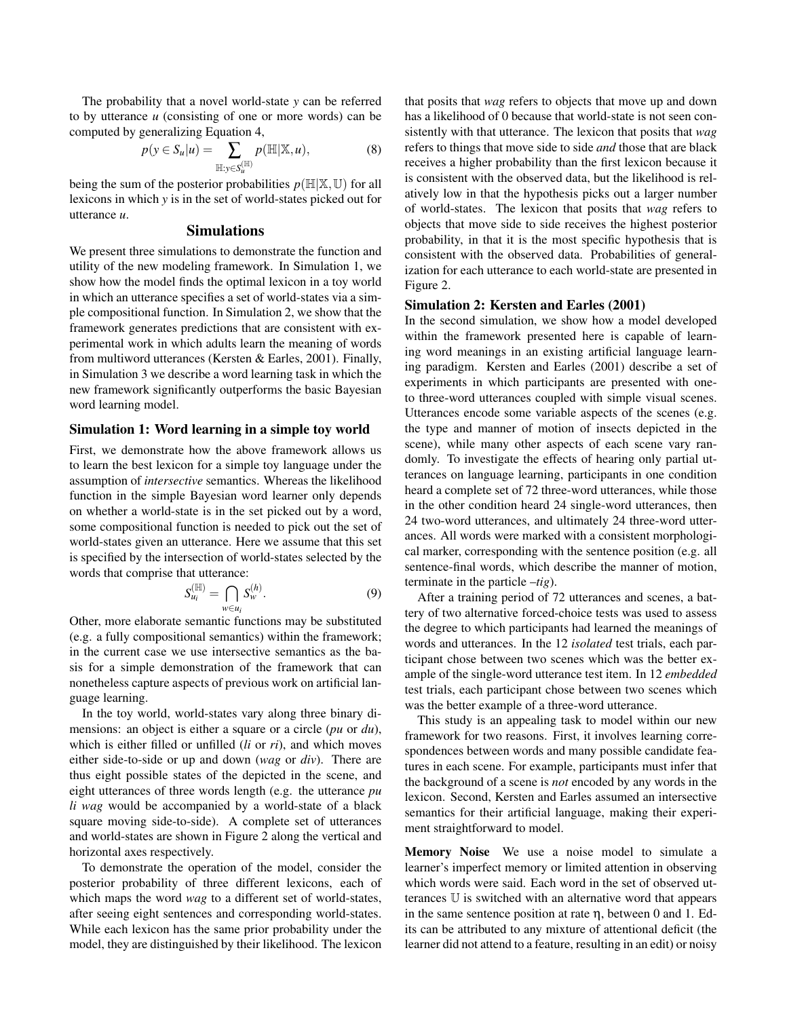The probability that a novel world-state *y* can be referred to by utterance *u* (consisting of one or more words) can be computed by generalizing Equation 4,

$$
p(y \in S_u | u) = \sum_{\mathbb{H}: y \in S_u^{(\mathbb{H})}} p(\mathbb{H} | \mathbb{X}, u), \tag{8}
$$

being the sum of the posterior probabilities  $p(\mathbb{H}|\mathbb{X}, \mathbb{U})$  for all lexicons in which *y* is in the set of world-states picked out for utterance *u*.

## Simulations

We present three simulations to demonstrate the function and utility of the new modeling framework. In Simulation 1, we show how the model finds the optimal lexicon in a toy world in which an utterance specifies a set of world-states via a simple compositional function. In Simulation 2, we show that the framework generates predictions that are consistent with experimental work in which adults learn the meaning of words from multiword utterances (Kersten & Earles, 2001). Finally, in Simulation 3 we describe a word learning task in which the new framework significantly outperforms the basic Bayesian word learning model.

### Simulation 1: Word learning in a simple toy world

First, we demonstrate how the above framework allows us to learn the best lexicon for a simple toy language under the assumption of *intersective* semantics. Whereas the likelihood function in the simple Bayesian word learner only depends on whether a world-state is in the set picked out by a word, some compositional function is needed to pick out the set of world-states given an utterance. Here we assume that this set is specified by the intersection of world-states selected by the words that comprise that utterance:

$$
S_{u_i}^{(\mathbb{H})} = \bigcap_{w \in u_i} S_w^{(h)}.
$$
\n(9)

Other, more elaborate semantic functions may be substituted (e.g. a fully compositional semantics) within the framework; in the current case we use intersective semantics as the basis for a simple demonstration of the framework that can nonetheless capture aspects of previous work on artificial language learning.

In the toy world, world-states vary along three binary dimensions: an object is either a square or a circle (*pu* or *du*), which is either filled or unfilled (*li* or *ri*), and which moves either side-to-side or up and down (*wag* or *div*). There are thus eight possible states of the depicted in the scene, and eight utterances of three words length (e.g. the utterance *pu li wag* would be accompanied by a world-state of a black square moving side-to-side). A complete set of utterances and world-states are shown in Figure 2 along the vertical and horizontal axes respectively.

To demonstrate the operation of the model, consider the posterior probability of three different lexicons, each of which maps the word *wag* to a different set of world-states, after seeing eight sentences and corresponding world-states. While each lexicon has the same prior probability under the model, they are distinguished by their likelihood. The lexicon that posits that *wag* refers to objects that move up and down has a likelihood of 0 because that world-state is not seen consistently with that utterance. The lexicon that posits that *wag* refers to things that move side to side *and* those that are black receives a higher probability than the first lexicon because it is consistent with the observed data, but the likelihood is relatively low in that the hypothesis picks out a larger number of world-states. The lexicon that posits that *wag* refers to objects that move side to side receives the highest posterior probability, in that it is the most specific hypothesis that is consistent with the observed data. Probabilities of generalization for each utterance to each world-state are presented in Figure 2.

#### Simulation 2: Kersten and Earles (2001)

In the second simulation, we show how a model developed within the framework presented here is capable of learning word meanings in an existing artificial language learning paradigm. Kersten and Earles (2001) describe a set of experiments in which participants are presented with oneto three-word utterances coupled with simple visual scenes. Utterances encode some variable aspects of the scenes (e.g. the type and manner of motion of insects depicted in the scene), while many other aspects of each scene vary randomly. To investigate the effects of hearing only partial utterances on language learning, participants in one condition heard a complete set of 72 three-word utterances, while those in the other condition heard 24 single-word utterances, then 24 two-word utterances, and ultimately 24 three-word utterances. All words were marked with a consistent morphological marker, corresponding with the sentence position (e.g. all sentence-final words, which describe the manner of motion, terminate in the particle –*tig*).

After a training period of 72 utterances and scenes, a battery of two alternative forced-choice tests was used to assess the degree to which participants had learned the meanings of words and utterances. In the 12 *isolated* test trials, each participant chose between two scenes which was the better example of the single-word utterance test item. In 12 *embedded* test trials, each participant chose between two scenes which was the better example of a three-word utterance.

This study is an appealing task to model within our new framework for two reasons. First, it involves learning correspondences between words and many possible candidate features in each scene. For example, participants must infer that the background of a scene is *not* encoded by any words in the lexicon. Second, Kersten and Earles assumed an intersective semantics for their artificial language, making their experiment straightforward to model.

Memory Noise We use a noise model to simulate a learner's imperfect memory or limited attention in observing which words were said. Each word in the set of observed utterances U is switched with an alternative word that appears in the same sentence position at rate  $\eta$ , between 0 and 1. Edits can be attributed to any mixture of attentional deficit (the learner did not attend to a feature, resulting in an edit) or noisy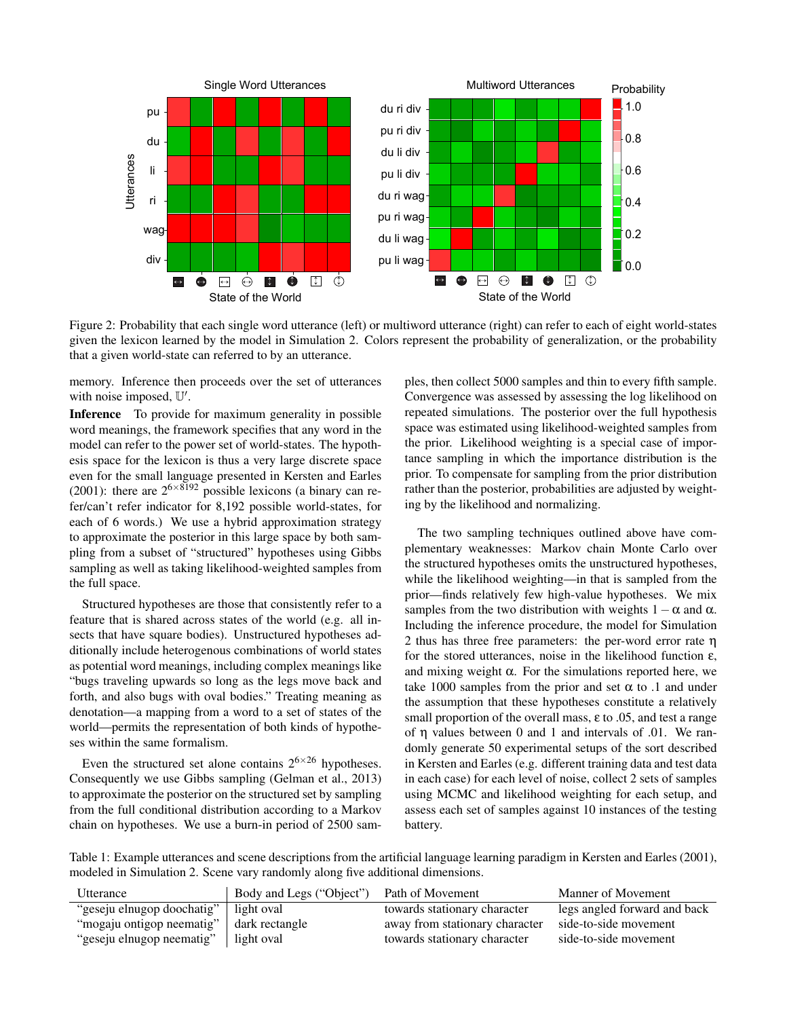

Figure 2: Probability that each single word utterance (left) or multiword utterance (right) can refer to each of eight world-states given the lexicon learned by the model in Simulation 2. Colors represent the probability of generalization, or the probability that a given world-state can referred to by an utterance.

memory. Inference then proceeds over the set of utterances with noise imposed,  $\mathbb{U}'$ .

Inference To provide for maximum generality in possible word meanings, the framework specifies that any word in the model can refer to the power set of world-states. The hypothesis space for the lexicon is thus a very large discrete space even for the small language presented in Kersten and Earles (2001): there are  $2^{6 \times 8192}$  possible lexicons (a binary can refer/can't refer indicator for 8,192 possible world-states, for each of 6 words.) We use a hybrid approximation strategy to approximate the posterior in this large space by both sampling from a subset of "structured" hypotheses using Gibbs sampling as well as taking likelihood-weighted samples from the full space.

Structured hypotheses are those that consistently refer to a feature that is shared across states of the world (e.g. all insects that have square bodies). Unstructured hypotheses additionally include heterogenous combinations of world states as potential word meanings, including complex meanings like "bugs traveling upwards so long as the legs move back and forth, and also bugs with oval bodies." Treating meaning as denotation—a mapping from a word to a set of states of the world—permits the representation of both kinds of hypotheses within the same formalism.

Even the structured set alone contains  $2^{6 \times 26}$  hypotheses. Consequently we use Gibbs sampling (Gelman et al., 2013) to approximate the posterior on the structured set by sampling from the full conditional distribution according to a Markov chain on hypotheses. We use a burn-in period of 2500 samples, then collect 5000 samples and thin to every fifth sample. Convergence was assessed by assessing the log likelihood on repeated simulations. The posterior over the full hypothesis space was estimated using likelihood-weighted samples from the prior. Likelihood weighting is a special case of importance sampling in which the importance distribution is the prior. To compensate for sampling from the prior distribution rather than the posterior, probabilities are adjusted by weighting by the likelihood and normalizing.

The two sampling techniques outlined above have complementary weaknesses: Markov chain Monte Carlo over the structured hypotheses omits the unstructured hypotheses, while the likelihood weighting—in that is sampled from the prior—finds relatively few high-value hypotheses. We mix samples from the two distribution with weights  $1-\alpha$  and  $\alpha$ . Including the inference procedure, the model for Simulation 2 thus has three free parameters: the per-word error rate η for the stored utterances, noise in the likelihood function  $\varepsilon$ , and mixing weight  $\alpha$ . For the simulations reported here, we take 1000 samples from the prior and set  $\alpha$  to .1 and under the assumption that these hypotheses constitute a relatively small proportion of the overall mass,  $\varepsilon$  to .05, and test a range of η values between 0 and 1 and intervals of .01. We randomly generate 50 experimental setups of the sort described in Kersten and Earles (e.g. different training data and test data in each case) for each level of noise, collect 2 sets of samples using MCMC and likelihood weighting for each setup, and assess each set of samples against 10 instances of the testing battery.

Table 1: Example utterances and scene descriptions from the artificial language learning paradigm in Kersten and Earles (2001), modeled in Simulation 2. Scene vary randomly along five additional dimensions.

| Utterance                  | Body and Legs ("Object") | Path of Movement               | Manner of Movement           |
|----------------------------|--------------------------|--------------------------------|------------------------------|
| "geseju elnugop doochatig" | light oval               | towards stationary character   | legs angled forward and back |
| "mogaju ontigop neematig"  | dark rectangle           | away from stationary character | side-to-side movement        |
| "geseju elnugop neematig"  | light oval               | towards stationary character   | side-to-side movement        |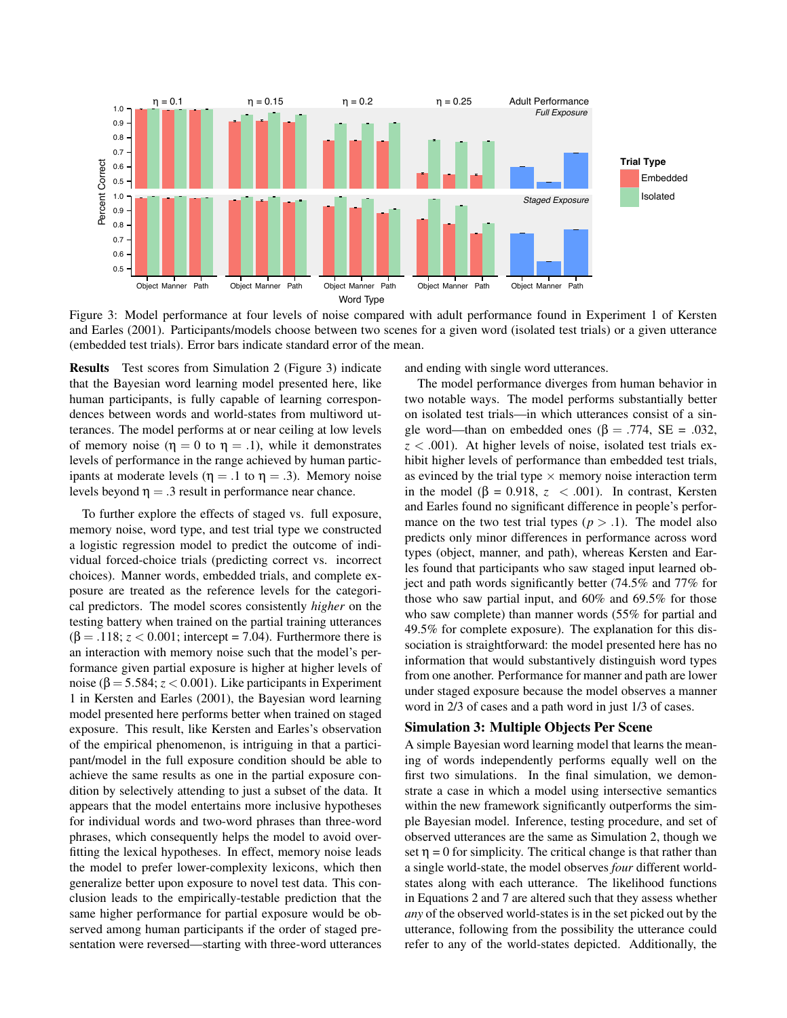

Figure 3: Model performance at four levels of noise compared with adult performance found in Experiment 1 of Kersten and Earles (2001). Participants/models choose between two scenes for a given word (isolated test trials) or a given utterance (embedded test trials). Error bars indicate standard error of the mean.

Results Test scores from Simulation 2 (Figure 3) indicate that the Bayesian word learning model presented here, like human participants, is fully capable of learning correspondences between words and world-states from multiword utterances. The model performs at or near ceiling at low levels of memory noise ( $\eta = 0$  to  $\eta = .1$ ), while it demonstrates levels of performance in the range achieved by human participants at moderate levels ( $\eta = .1$  to  $\eta = .3$ ). Memory noise levels beyond  $\eta = 0.3$  result in performance near chance.

To further explore the effects of staged vs. full exposure, memory noise, word type, and test trial type we constructed a logistic regression model to predict the outcome of individual forced-choice trials (predicting correct vs. incorrect choices). Manner words, embedded trials, and complete exposure are treated as the reference levels for the categorical predictors. The model scores consistently *higher* on the testing battery when trained on the partial training utterances  $(\beta = .118; z < 0.001;$  intercept = 7.04). Furthermore there is an interaction with memory noise such that the model's performance given partial exposure is higher at higher levels of noise (β = 5.584; *z* < 0.001). Like participants in Experiment 1 in Kersten and Earles (2001), the Bayesian word learning model presented here performs better when trained on staged exposure. This result, like Kersten and Earles's observation of the empirical phenomenon, is intriguing in that a participant/model in the full exposure condition should be able to achieve the same results as one in the partial exposure condition by selectively attending to just a subset of the data. It appears that the model entertains more inclusive hypotheses for individual words and two-word phrases than three-word phrases, which consequently helps the model to avoid overfitting the lexical hypotheses. In effect, memory noise leads the model to prefer lower-complexity lexicons, which then generalize better upon exposure to novel test data. This conclusion leads to the empirically-testable prediction that the same higher performance for partial exposure would be observed among human participants if the order of staged presentation were reversed—starting with three-word utterances and ending with single word utterances.

The model performance diverges from human behavior in two notable ways. The model performs substantially better on isolated test trials—in which utterances consist of a single word—than on embedded ones ( $\beta$  = .774, SE = .032, *z* < .001). At higher levels of noise, isolated test trials exhibit higher levels of performance than embedded test trials, as evinced by the trial type  $\times$  memory noise interaction term in the model  $(\beta = 0.918, z < .001)$ . In contrast, Kersten and Earles found no significant difference in people's performance on the two test trial types  $(p > 0.1)$ . The model also predicts only minor differences in performance across word types (object, manner, and path), whereas Kersten and Earles found that participants who saw staged input learned object and path words significantly better (74.5% and 77% for those who saw partial input, and 60% and 69.5% for those who saw complete) than manner words (55% for partial and 49.5% for complete exposure). The explanation for this dissociation is straightforward: the model presented here has no information that would substantively distinguish word types from one another. Performance for manner and path are lower under staged exposure because the model observes a manner word in 2/3 of cases and a path word in just 1/3 of cases.

### Simulation 3: Multiple Objects Per Scene

A simple Bayesian word learning model that learns the meaning of words independently performs equally well on the first two simulations. In the final simulation, we demonstrate a case in which a model using intersective semantics within the new framework significantly outperforms the simple Bayesian model. Inference, testing procedure, and set of observed utterances are the same as Simulation 2, though we set  $\eta = 0$  for simplicity. The critical change is that rather than a single world-state, the model observes *four* different worldstates along with each utterance. The likelihood functions in Equations 2 and 7 are altered such that they assess whether *any* of the observed world-states is in the set picked out by the utterance, following from the possibility the utterance could refer to any of the world-states depicted. Additionally, the